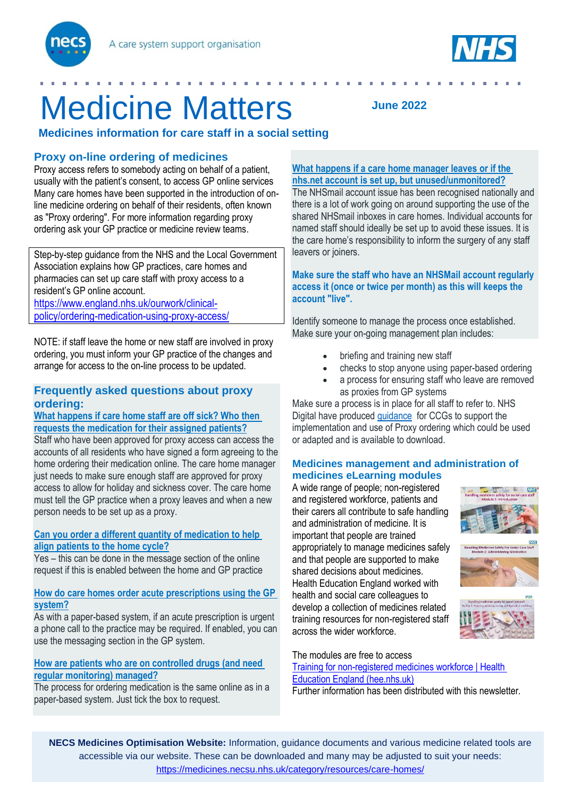



# Medicine Matters

 **Medicines information for care staff in a social setting**

# **Proxy on-line ordering of medicines**

Proxy access refers to somebody acting on behalf of a patient, usually with the patient's consent, to access GP online services Many care homes have been supported in the introduction of online medicine ordering on behalf of their residents, often known as "Proxy ordering". For more information regarding proxy ordering ask your GP practice or medicine review teams.

Step-by-step guidance from the NHS and the Local Government Association explains how GP practices, care homes and pharmacies can set up care staff with proxy access to a resident's GP online account.

[https://www.england.nhs.uk/ourwork/clinical](https://www.england.nhs.uk/ourwork/clinical-policy/ordering-medication-using-proxy-access/)[policy/ordering-medication-using-proxy-access/](https://www.england.nhs.uk/ourwork/clinical-policy/ordering-medication-using-proxy-access/)

NOTE: if staff leave the home or new staff are involved in proxy ordering, you must inform your GP practice of the changes and arrange for access to the on-line process to be updated.

# **Frequently asked questions about proxy ordering:**

#### **What [happens](https://www.england.nhs.uk/ourwork/clinical-policy/ordering-medication-using-proxy-access/faqs/care-home-gp-practice-ccg-operations/#what-happens-if-care-home-staff-are-off-sick-who-then-requests-the-medication-for-their-assigned-patients) if care home staff are off sick? Who then requests the [medication](https://www.england.nhs.uk/ourwork/clinical-policy/ordering-medication-using-proxy-access/faqs/care-home-gp-practice-ccg-operations/#what-happens-if-care-home-staff-are-off-sick-who-then-requests-the-medication-for-their-assigned-patients) for their assigned patients?**

Staff who have been approved for proxy access can access the accounts of all residents who have signed a form agreeing to the home ordering their medication online. The care home manager just needs to make sure enough staff are approved for proxy access to allow for holiday and sickness cover. The care home must tell the GP practice when a proxy leaves and when a new person needs to be set up as a proxy.

### **Can you order a different quantity of [medication](https://www.england.nhs.uk/ourwork/clinical-policy/ordering-medication-using-proxy-access/faqs/care-home-gp-practice-ccg-operations/#can-you-order-a-different-quantity-of-medication-to-help-align-patients-to-the-home-cycle) to help align [patients](https://www.england.nhs.uk/ourwork/clinical-policy/ordering-medication-using-proxy-access/faqs/care-home-gp-practice-ccg-operations/#can-you-order-a-different-quantity-of-medication-to-help-align-patients-to-the-home-cycle) to the home cycle?**

Yes – this can be done in the message section of the online request if this is enabled between the home and GP practice

#### **How do care homes order acute [prescriptions](https://www.england.nhs.uk/ourwork/clinical-policy/ordering-medication-using-proxy-access/faqs/care-home-gp-practice-ccg-operations/#how-do-care-homes-order-acute-prescriptions-using-the-gp-system) using the GP [system?](https://www.england.nhs.uk/ourwork/clinical-policy/ordering-medication-using-proxy-access/faqs/care-home-gp-practice-ccg-operations/#how-do-care-homes-order-acute-prescriptions-using-the-gp-system)**

As with a paper-based system, if an acute prescription is urgent a phone call to the practice may be required. If enabled, you can use the messaging section in the GP system.

## **How are patients who are on [controlled](https://www.england.nhs.uk/ourwork/clinical-policy/ordering-medication-using-proxy-access/faqs/care-home-gp-practice-ccg-operations/#how-are-patients-who-are-on-controlled-drugs-and-need-regular-monitoring-managed) drugs (and need regular [monitoring\)](https://www.england.nhs.uk/ourwork/clinical-policy/ordering-medication-using-proxy-access/faqs/care-home-gp-practice-ccg-operations/#how-are-patients-who-are-on-controlled-drugs-and-need-regular-monitoring-managed) managed?**

The process for ordering medication is the same online as in a paper-based system. Just tick the box to request.

# **What happens if a care home [manager](https://www.england.nhs.uk/ourwork/clinical-policy/ordering-medication-using-proxy-access/faqs/care-home-gp-practice-ccg-operations/#what-happens-if-a-care-home-manager-leaves-or-if-the-nhs-net-account-is-set-up-but-unused-unmonitored) leaves or if the nhs.net account is set up, but [unused/unmonitored?](https://www.england.nhs.uk/ourwork/clinical-policy/ordering-medication-using-proxy-access/faqs/care-home-gp-practice-ccg-operations/#what-happens-if-a-care-home-manager-leaves-or-if-the-nhs-net-account-is-set-up-but-unused-unmonitored)**

**June 2022**

The NHSmail account issue has been recognised nationally and there is a lot of work going on around supporting the use of the shared NHSmail inboxes in care homes. Individual accounts for named staff should ideally be set up to avoid these issues. It is the care home's responsibility to inform the surgery of any staff leavers or joiners.

#### **Make sure the staff who have an NHSMail account regularly access it (once or twice per month) as this will keeps the account "live".**

Identify someone to manage the process once established. Make sure your on-going management plan includes:

- briefing and training new staff
- checks to stop anyone using paper-based ordering
- a process for ensuring staff who leave are removed as proxies from GP systems

Make sure a process is in place for all staff to refer to. NHS Digital have produce[d guidance](https://www.england.nhs.uk/publication/d18-template-ccg-policy-for-care-home-use-of-proxy-access/) for CCGs to support the implementation and use of Proxy ordering which could be used or adapted and is available to download.

#### **Medicines management and administration of medicines eLearning modules**

A wide range of people; non-registered and registered workforce, patients and their carers all contribute to safe handling and administration of medicine. It is important that people are trained appropriately to manage medicines safely and that people are supported to make shared decisions about medicines. Health Education England worked with health and social care colleagues to develop a collection of medicines related training resources for non-registered staff across the wider workforce.





The modules are free to access [Training for non-registered medicines workforce | Health](https://www.hee.nhs.uk/our-work/medicines-optimisation/training-non-registered-medicines-workforce)  [Education England \(hee.nhs.uk\)](https://www.hee.nhs.uk/our-work/medicines-optimisation/training-non-registered-medicines-workforce) Further information has been distributed with this newsletter.

**NECS Medicines Optimisation Website:** Information, guidance documents and various medicine related tools are accessible via our website. These can be downloaded and many may be adjusted to suit your needs: <https://medicines.necsu.nhs.uk/category/resources/care-homes/>